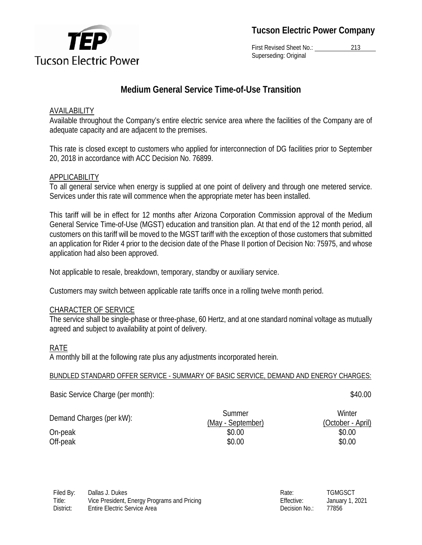

First Revised Sheet No.: 213 Superseding: Original

## **Medium General Service Time-of-Use Transition**

## AVAILABILITY

Available throughout the Company's entire electric service area where the facilities of the Company are of adequate capacity and are adjacent to the premises.

This rate is closed except to customers who applied for interconnection of DG facilities prior to September 20, 2018 in accordance with ACC Decision No. 76899.

## **APPLICABILITY**

To all general service when energy is supplied at one point of delivery and through one metered service. Services under this rate will commence when the appropriate meter has been installed.

This tariff will be in effect for 12 months after Arizona Corporation Commission approval of the Medium General Service Time-of-Use (MGST) education and transition plan. At that end of the 12 month period, all customers on this tariff will be moved to the MGST tariff with the exception of those customers that submitted an application for Rider 4 prior to the decision date of the Phase II portion of Decision No: 75975, and whose application had also been approved.

Not applicable to resale, breakdown, temporary, standby or auxiliary service.

Customers may switch between applicable rate tariffs once in a rolling twelve month period.

## CHARACTER OF SERVICE

The service shall be single-phase or three-phase, 60 Hertz, and at one standard nominal voltage as mutually agreed and subject to availability at point of delivery.

## RATE

A monthly bill at the following rate plus any adjustments incorporated herein.

#### BUNDLED STANDARD OFFER SERVICE - SUMMARY OF BASIC SERVICE, DEMAND AND ENERGY CHARGES:

Basic Service Charge (per month):  $$40.00$ 

| Demand Charges (per kW): | Summer            | Winter            |
|--------------------------|-------------------|-------------------|
|                          | (May - September) | (October - April) |
| On-peak                  | \$0.00            | \$0.00            |
| Off-peak                 | \$0.00            | \$0.00            |

| Rate:         | TGMGSCT        |
|---------------|----------------|
| Effective:    | January 1, 202 |
| Decision No.: | 77856          |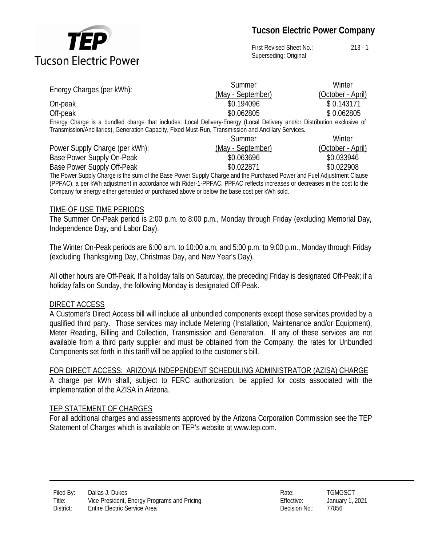

First Revised Sheet No.: 213 - 1 Superseding: Original

|                                                                                                                         | Summer            | Winter            |  |  |
|-------------------------------------------------------------------------------------------------------------------------|-------------------|-------------------|--|--|
| Energy Charges (per kWh):                                                                                               | (May - September) | (October - April) |  |  |
| On-peak                                                                                                                 | \$0.194096        | \$0.143171        |  |  |
| Off-peak                                                                                                                | \$0.062805        | \$0.062805        |  |  |
| Energy Charge is a bundled charge that includes: Local Delivery-Energy (Local Delivery and/or Distribution exclusive of |                   |                   |  |  |
| Transmission/Ancillaries), Generation Capacity, Fixed Must-Run, Transmission and Ancillary Services.                    |                   |                   |  |  |
|                                                                                                                         | Summer            | Winter            |  |  |
| Power Supply Charge (per kWh):                                                                                          | (May - September) | (October - April) |  |  |
| Base Power Supply On-Peak                                                                                               | \$0.063696        | \$0.033946        |  |  |
| Base Power Supply Off-Peak                                                                                              | \$0.022871        | \$0.022908        |  |  |

The Power Supply Charge is the sum of the Base Power Supply Charge and the Purchased Power and Fuel Adjustment Clause (PPFAC), a per kWh adjustment in accordance with Rider-1-PPFAC. PPFAC reflects increases or decreases in the cost to the Company for energy either generated or purchased above or below the base cost per kWh sold.

#### TIME-OF-USE TIME PERIODS

The Summer On-Peak period is 2:00 p.m. to 8:00 p.m., Monday through Friday (excluding Memorial Day, Independence Day, and Labor Day).

The Winter On-Peak periods are 6:00 a.m. to 10:00 a.m. and 5:00 p.m. to 9:00 p.m., Monday through Friday (excluding Thanksgiving Day, Christmas Day, and New Year's Day).

All other hours are Off-Peak. If a holiday falls on Saturday, the preceding Friday is designated Off-Peak; if a holiday falls on Sunday, the following Monday is designated Off-Peak.

#### DIRECT ACCESS

A Customer's Direct Access bill will include all unbundled components except those services provided by a qualified third party. Those services may include Metering (Installation, Maintenance and/or Equipment), Meter Reading, Billing and Collection, Transmission and Generation. If any of these services are not available from a third party supplier and must be obtained from the Company, the rates for Unbundled Components set forth in this tariff will be applied to the customer's bill.

#### FOR DIRECT ACCESS: ARIZONA INDEPENDENT SCHEDULING ADMINISTRATOR (AZISA) CHARGE

A charge per kWh shall, subject to FERC authorization, be applied for costs associated with the implementation of the AZISA in Arizona.

#### TEP STATEMENT OF CHARGES

For all additional charges and assessments approved by the Arizona Corporation Commission see the TEP Statement of Charges which is available on TEP's website at www.tep.com.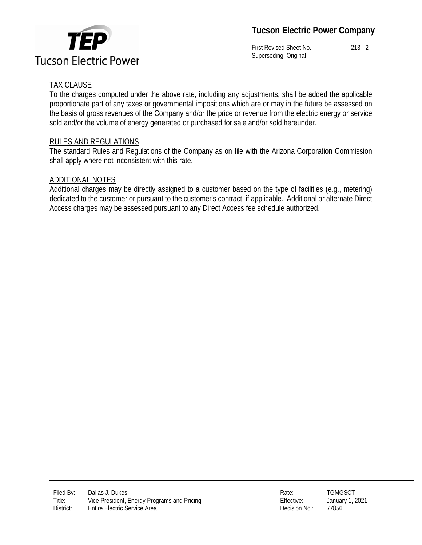

First Revised Sheet No.: 213 - 2 Superseding: Original

## TAX CLAUSE

To the charges computed under the above rate, including any adjustments, shall be added the applicable proportionate part of any taxes or governmental impositions which are or may in the future be assessed on the basis of gross revenues of the Company and/or the price or revenue from the electric energy or service sold and/or the volume of energy generated or purchased for sale and/or sold hereunder.

## RULES AND REGULATIONS

The standard Rules and Regulations of the Company as on file with the Arizona Corporation Commission shall apply where not inconsistent with this rate.

## ADDITIONAL NOTES

Additional charges may be directly assigned to a customer based on the type of facilities (e.g., metering) dedicated to the customer or pursuant to the customer's contract, if applicable. Additional or alternate Direct Access charges may be assessed pursuant to any Direct Access fee schedule authorized.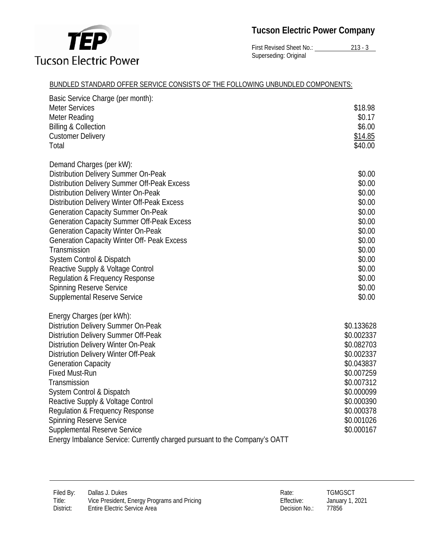

First Revised Sheet No.: 213 - 3 Superseding: Original

#### BUNDLED STANDARD OFFER SERVICE CONSISTS OF THE FOLLOWING UNBUNDLED COMPONENTS:

| Basic Service Charge (per month):                                          |            |
|----------------------------------------------------------------------------|------------|
| <b>Meter Services</b>                                                      | \$18.98    |
| Meter Reading                                                              | \$0.17     |
| <b>Billing &amp; Collection</b>                                            | \$6.00     |
| <b>Customer Delivery</b>                                                   | \$14.85    |
| Total                                                                      | \$40.00    |
|                                                                            |            |
| Demand Charges (per kW):                                                   |            |
| Distribution Delivery Summer On-Peak                                       | \$0.00     |
| <b>Distribution Delivery Summer Off-Peak Excess</b>                        | \$0.00     |
| <b>Distribution Delivery Winter On-Peak</b>                                | \$0.00     |
| Distribution Delivery Winter Off-Peak Excess                               | \$0.00     |
| <b>Generation Capacity Summer On-Peak</b>                                  | \$0.00     |
| <b>Generation Capacity Summer Off-Peak Excess</b>                          | \$0.00     |
| <b>Generation Capacity Winter On-Peak</b>                                  | \$0.00     |
| <b>Generation Capacity Winter Off- Peak Excess</b>                         | \$0.00     |
| Transmission                                                               | \$0.00     |
| System Control & Dispatch                                                  | \$0.00     |
| Reactive Supply & Voltage Control                                          | \$0.00     |
| Regulation & Frequency Response                                            | \$0.00     |
| <b>Spinning Reserve Service</b>                                            | \$0.00     |
| Supplemental Reserve Service                                               | \$0.00     |
|                                                                            |            |
| Energy Charges (per kWh):                                                  |            |
| <b>Distriution Delivery Summer On-Peak</b>                                 | \$0.133628 |
| <b>Distriution Delivery Summer Off-Peak</b>                                | \$0.002337 |
| <b>Distriution Delivery Winter On-Peak</b>                                 | \$0.082703 |
| <b>Distriution Delivery Winter Off-Peak</b>                                | \$0.002337 |
| <b>Generation Capacity</b>                                                 | \$0.043837 |
| <b>Fixed Must-Run</b>                                                      | \$0.007259 |
| Transmission                                                               | \$0.007312 |
| System Control & Dispatch                                                  | \$0.000099 |
| Reactive Supply & Voltage Control                                          | \$0.000390 |
| <b>Regulation &amp; Frequency Response</b>                                 | \$0.000378 |
| <b>Spinning Reserve Service</b>                                            | \$0.001026 |
| <b>Supplemental Reserve Service</b>                                        | \$0.000167 |
| Energy Imbalance Service: Currently charged pursuant to the Company's OATT |            |